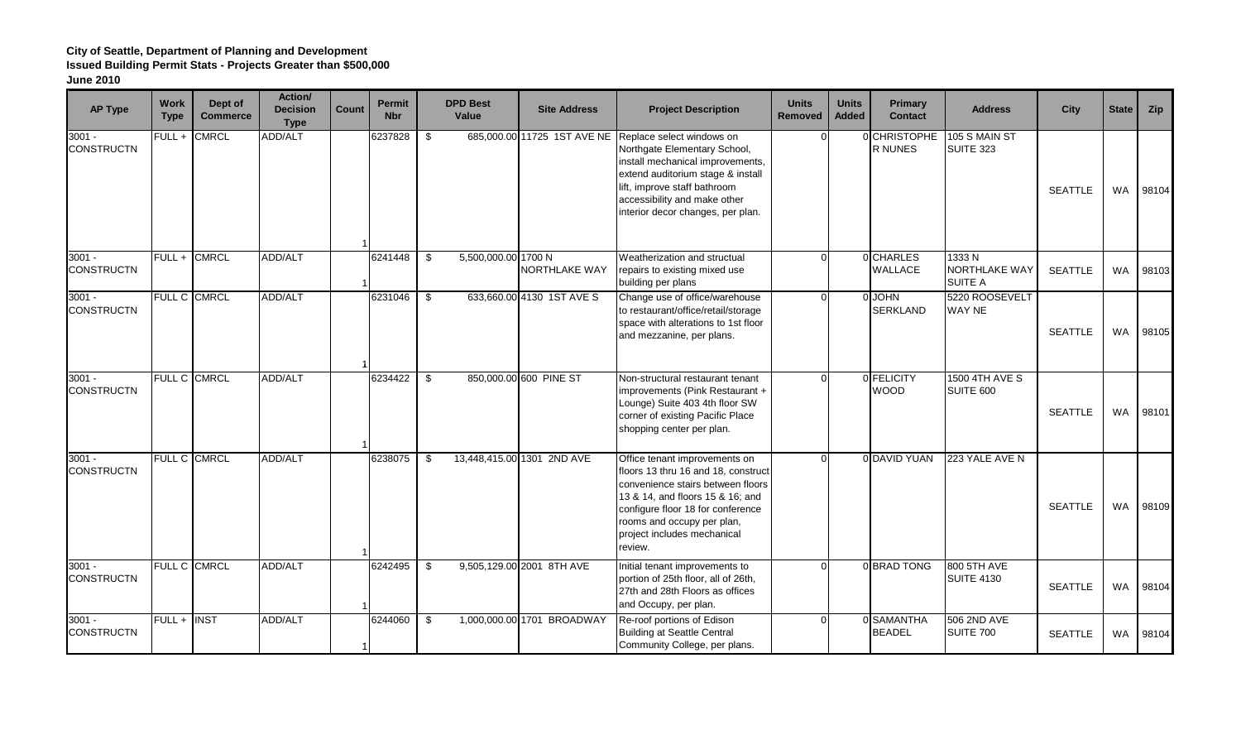## **City of Seattle, Department of Planning and Development Issued Building Permit Stats - Projects Greater than \$500,000 June 2010**

| <b>AP Type</b>                | <b>Work</b><br><b>Type</b> | Dept of<br><b>Commerce</b> | Action/<br><b>Decision</b><br><b>Type</b> | Count | <b>Permit</b><br><b>Nbr</b> | <b>DPD Best</b><br>Value    | <b>Site Address</b>        | <b>Project Description</b>                                                                                                                                                                                                                                        | <b>Units</b><br><b>Removed</b> | <b>Units</b><br><b>Added</b> | <b>Primary</b><br><b>Contact</b> | <b>Address</b>                           | <b>City</b>    | <b>State</b> | Zip   |
|-------------------------------|----------------------------|----------------------------|-------------------------------------------|-------|-----------------------------|-----------------------------|----------------------------|-------------------------------------------------------------------------------------------------------------------------------------------------------------------------------------------------------------------------------------------------------------------|--------------------------------|------------------------------|----------------------------------|------------------------------------------|----------------|--------------|-------|
| $3001 -$<br><b>CONSTRUCTN</b> | $FULL +$                   | <b>CMRCL</b>               | <b>ADD/ALT</b>                            |       | 6237828                     | - \$                        |                            | 685,000.00 11725 1ST AVE NE Replace select windows on<br>Northgate Elementary School,<br>install mechanical improvements,<br>extend auditorium stage & install<br>ift, improve staff bathroom<br>accessibility and make other<br>nterior decor changes, per plan. |                                |                              | 0 CHRISTOPHE<br>R NUNES          | 105 S MAIN ST<br>SUITE 323               | <b>SEATTLE</b> | <b>WA</b>    | 98104 |
| $3001 -$<br><b>CONSTRUCTN</b> | $FULL +$                   | <b>CMRCL</b>               | <b>ADD/ALT</b>                            |       | 6241448                     | 5,500,000.00 1700 N<br>- \$ | NORTHLAKE WAY              | Weatherization and structual<br>repairs to existing mixed use<br>building per plans                                                                                                                                                                               |                                |                              | 0 CHARLES<br>WALLACE             | 1333N<br>NORTHLAKE WAY<br><b>SUITE A</b> | <b>SEATTLE</b> | <b>WA</b>    | 98103 |
| $3001 -$<br><b>CONSTRUCTN</b> |                            | FULL C CMRCL               | ADD/ALT                                   |       | 6231046                     | \$                          | 633,660.00 4130 1ST AVE S  | Change use of office/warehouse<br>to restaurant/office/retail/storage<br>space with alterations to 1st floor<br>and mezzanine, per plans.                                                                                                                         |                                |                              | 0 JOHN<br>SERKLAND               | 5220 ROOSEVELT<br><b>WAY NE</b>          | <b>SEATTLE</b> | <b>WA</b>    | 98105 |
| $3001 -$<br><b>CONSTRUCTN</b> |                            | FULL C CMRCL               | <b>ADD/ALT</b>                            |       | 6234422                     | \$                          | 850,000.00 600 PINE ST     | Non-structural restaurant tenant<br>mprovements (Pink Restaurant +<br>Lounge) Suite 403 4th floor SW<br>corner of existing Pacific Place<br>shopping center per plan.                                                                                             |                                |                              | 0 FELICITY<br><b>WOOD</b>        | <b>1500 4TH AVE S</b><br>SUITE 600       | <b>SEATTLE</b> | <b>WA</b>    | 98101 |
| $3001 -$<br><b>CONSTRUCTN</b> |                            | FULL C CMRCL               | <b>ADD/ALT</b>                            |       | 6238075                     | \$                          | 13,448,415.00 1301 2ND AVE | Office tenant improvements on<br>floors 13 thru 16 and 18, construct<br>convenience stairs between floors<br>13 & 14, and floors 15 & 16; and<br>configure floor 18 for conference<br>rooms and occupy per plan,<br>project includes mechanical<br>review.        |                                |                              | 0 DAVID YUAN                     | 223 YALE AVE N                           | <b>SEATTLE</b> | <b>WA</b>    | 98109 |
| $3001 -$<br><b>CONSTRUCTN</b> |                            | FULL C CMRCL               | ADD/ALT                                   |       | 6242495                     | - \$                        | 9,505,129.00 2001 8TH AVE  | nitial tenant improvements to<br>portion of 25th floor, all of 26th,<br>27th and 28th Floors as offices<br>and Occupy, per plan.                                                                                                                                  |                                |                              | 0 BRAD TONG                      | 800 5TH AVE<br><b>SUITE 4130</b>         | <b>SEATTLE</b> | <b>WA</b>    | 98104 |
| $3001 -$<br><b>CONSTRUCTN</b> | FULL + INST                |                            | <b>ADD/ALT</b>                            |       | 6244060                     | - \$                        | 1,000,000.00 1701 BROADWAY | Re-roof portions of Edison<br><b>Building at Seattle Central</b><br>Community College, per plans.                                                                                                                                                                 |                                |                              | 0 SAMANTHA<br><b>BEADEL</b>      | 506 2ND AVE<br>SUITE 700                 | <b>SEATTLE</b> | <b>WA</b>    | 98104 |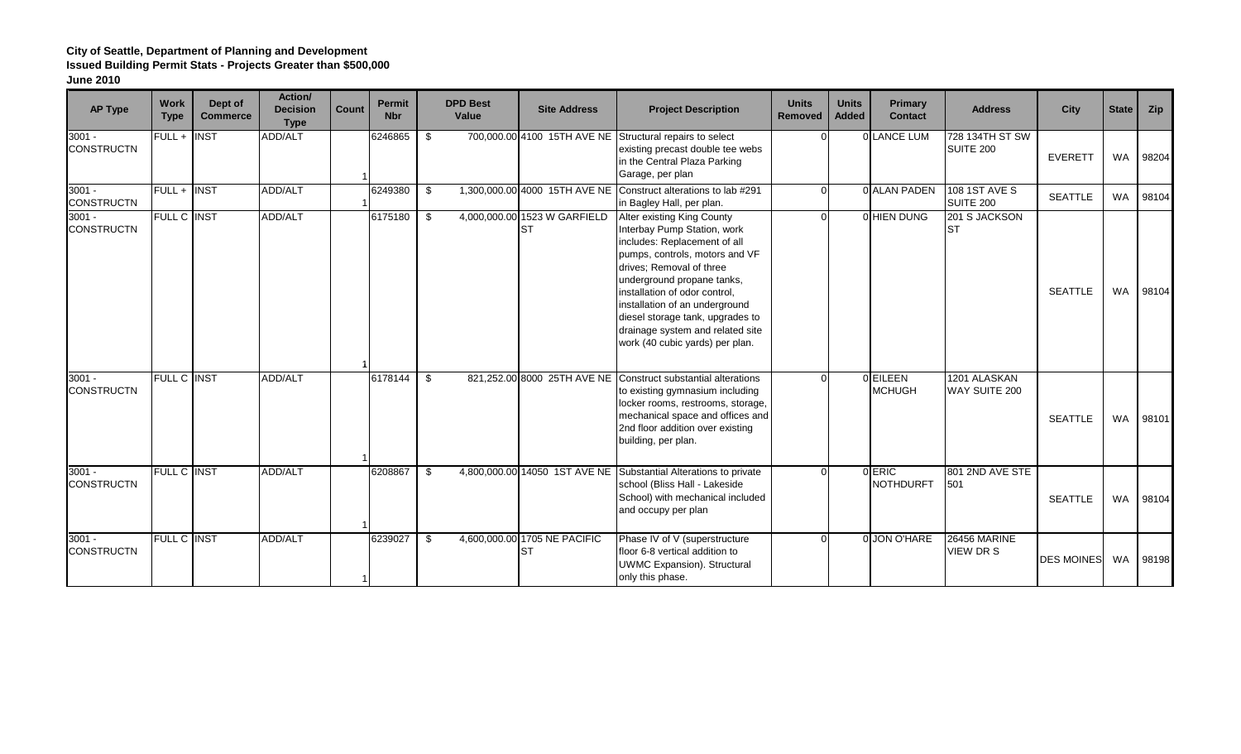# **City of Seattle, Department of Planning and Development Issued Building Permit Stats - Projects Greater than \$500,000**

| <b>AP Type</b>                | <b>Work</b><br><b>Type</b> | Dept of<br><b>Commerce</b> | Action/<br><b>Decision</b><br><b>Type</b> | <b>Count</b> | <b>Permit</b><br><b>Nbr</b> | <b>DPD Best</b><br>Value | <b>Site Address</b>                | <b>Project Description</b>                                                                                                                                                                                                                                                                                                                                          | <b>Units</b><br>Removed | <b>Units</b><br><b>Added</b> | Primary<br><b>Contact</b>  | <b>Address</b>                          | <b>City</b>       | <b>State</b> | Zip   |
|-------------------------------|----------------------------|----------------------------|-------------------------------------------|--------------|-----------------------------|--------------------------|------------------------------------|---------------------------------------------------------------------------------------------------------------------------------------------------------------------------------------------------------------------------------------------------------------------------------------------------------------------------------------------------------------------|-------------------------|------------------------------|----------------------------|-----------------------------------------|-------------------|--------------|-------|
| $3001 -$<br><b>CONSTRUCTN</b> | FULL + INST                |                            | ADD/ALT                                   |              | 6246865                     | \$                       | 700,000.00 4100 15TH AVE NE        | Structural repairs to select<br>existing precast double tee webs<br>in the Central Plaza Parking<br>Garage, per plan                                                                                                                                                                                                                                                |                         |                              | 0 LANCE LUM                | 728 134TH ST SW<br>SUITE 200            | <b>EVERETT</b>    | <b>WA</b>    | 98204 |
| $3001 -$<br><b>CONSTRUCTN</b> | FULL + INST                |                            | ADD/ALT                                   |              | 6249380                     | \$                       | 1,300,000.00 4000 15TH AVE NE      | Construct alterations to lab #291<br>in Bagley Hall, per plan.                                                                                                                                                                                                                                                                                                      |                         |                              | 0 ALAN PADEN               | 108 1ST AVE S<br><b>SUITE 200</b>       | <b>SEATTLE</b>    | <b>WA</b>    | 98104 |
| $3001 -$<br><b>CONSTRUCTN</b> | <b>FULL C INST</b>         |                            | <b>ADD/ALT</b>                            |              | 6175180                     | \$                       | 4,000,000.00 1523 W GARFIELD<br>ST | Alter existing King County<br>Interbay Pump Station, work<br>includes: Replacement of all<br>pumps, controls, motors and VF<br>drives; Removal of three<br>underground propane tanks,<br>installation of odor control,<br>installation of an underground<br>diesel storage tank, upgrades to<br>drainage system and related site<br>work (40 cubic yards) per plan. |                         |                              | <b>OHIEN DUNG</b>          | 201 S JACKSON<br><b>ST</b>              | <b>SEATTLE</b>    | <b>WA</b>    | 98104 |
| $3001 -$<br><b>CONSTRUCTN</b> | <b>FULL C INST</b>         |                            | <b>ADD/ALT</b>                            |              | 6178144                     | \$                       | 821,252.00 8000 25TH AVE NE        | Construct substantial alterations<br>to existing gymnasium including<br>locker rooms, restrooms, storage,<br>mechanical space and offices and<br>2nd floor addition over existing<br>building, per plan.                                                                                                                                                            |                         |                              | 0 EILEEN<br><b>MCHUGH</b>  | 1201 ALASKAN<br>WAY SUITE 200           | <b>SEATTLE</b>    | <b>WA</b>    | 98101 |
| $3001 -$<br><b>CONSTRUCTN</b> | FULL C INST                |                            | ADD/ALT                                   |              | 6208867                     | \$.                      |                                    | 4,800,000.00 14050 1ST AVE NE Substantial Alterations to private<br>school (Bliss Hall - Lakeside<br>School) with mechanical included<br>and occupy per plan                                                                                                                                                                                                        |                         |                              | 0 ERIC<br><b>NOTHDURFT</b> | 801 2ND AVE STE<br>501                  | <b>SEATTLE</b>    | <b>WA</b>    | 98104 |
| $3001 -$<br><b>CONSTRUCTN</b> | <b>FULL C INST</b>         |                            | ADD/ALT                                   |              | 6239027                     | \$                       | 4,600,000.00 1705 NE PACIFIC<br>ST | Phase IV of V (superstructure<br>floor 6-8 vertical addition to<br><b>UWMC Expansion). Structural</b><br>only this phase.                                                                                                                                                                                                                                           |                         |                              | 0 JON O'HARE               | <b>26456 MARINE</b><br><b>VIEW DR S</b> | <b>DES MOINES</b> | WA           | 98198 |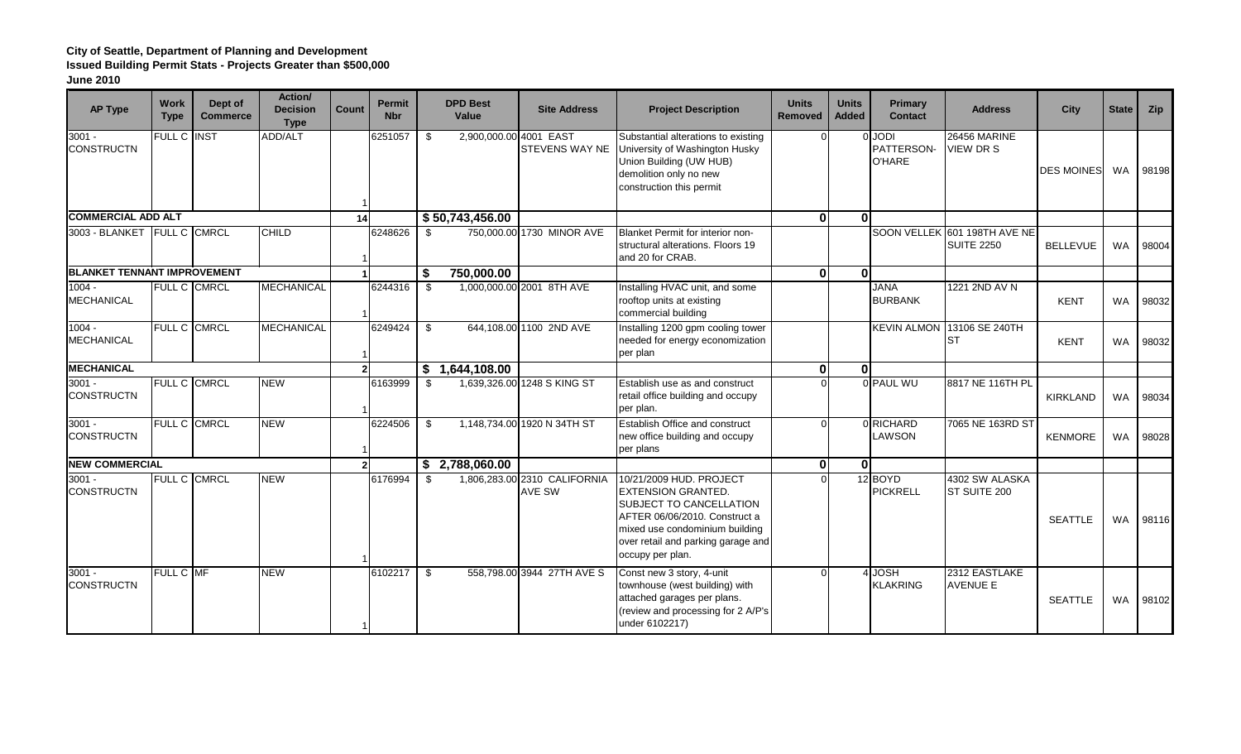# **City of Seattle, Department of Planning and Development**

**Issued Building Permit Stats - Projects Greater than \$500,000**

| <b>AP Type</b>                     | <b>Work</b><br><b>Type</b> | Dept of<br><b>Commerce</b> | Action/<br><b>Decision</b><br><b>Type</b> | <b>Count</b> | <b>Permit</b><br><b>Nbr</b> |     | <b>DPD Best</b><br>Value | <b>Site Address</b>                    | <b>Project Description</b>                                                                                                                                                                                   | <b>Units</b><br><b>Removed</b> | <b>Units</b><br><b>Added</b> | Primary<br><b>Contact</b>             | <b>Address</b>                                    | <b>City</b>       | <b>State</b> | Zip   |
|------------------------------------|----------------------------|----------------------------|-------------------------------------------|--------------|-----------------------------|-----|--------------------------|----------------------------------------|--------------------------------------------------------------------------------------------------------------------------------------------------------------------------------------------------------------|--------------------------------|------------------------------|---------------------------------------|---------------------------------------------------|-------------------|--------------|-------|
| $3001 -$<br><b>CONSTRUCTN</b>      | FULL C INST                |                            | ADD/ALT                                   |              | 6251057                     | \$  | 2,900,000.00 4001 EAST   | <b>STEVENS WAY NE</b>                  | Substantial alterations to existing<br>University of Washington Husky<br>Union Building (UW HUB)<br>demolition only no new<br>construction this permit                                                       |                                |                              | 0 JODI<br>PATTERSON-<br><b>O'HARE</b> | 26456 MARINE<br>VIEW DR S                         | <b>DES MOINES</b> | <b>WA</b>    | 98198 |
| <b>COMMERCIAL ADD ALT</b>          |                            |                            |                                           | 14           |                             |     | \$50,743,456.00          |                                        |                                                                                                                                                                                                              | $\mathbf{0}$                   | ΩI                           |                                       |                                                   |                   |              |       |
| 3003 - BLANKET FULL C CMRCL        |                            |                            | <b>CHILD</b>                              |              | 6248626                     | \$  |                          | 750,000.00 1730 MINOR AVE              | Blanket Permit for interior non-<br>structural alterations. Floors 19<br>and 20 for CRAB.                                                                                                                    |                                |                              |                                       | SOON VELLEK 601 198TH AVE NE<br><b>SUITE 2250</b> | <b>BELLEVUE</b>   | <b>WA</b>    | 98004 |
| <b>BLANKET TENNANT IMPROVEMENT</b> |                            |                            |                                           |              |                             | \$  | 750,000.00               |                                        |                                                                                                                                                                                                              | $\mathbf{0}$                   | 0l                           |                                       |                                                   |                   |              |       |
| $1004 -$<br><b>MECHANICAL</b>      |                            | FULL C CMRCL               | <b>MECHANICAL</b>                         |              | 6244316                     | -\$ |                          | 1,000,000.00 2001 8TH AVE              | Installing HVAC unit, and some<br>rooftop units at existing<br>commercial building                                                                                                                           |                                |                              | <b>JANA</b><br><b>BURBANK</b>         | 1221 2ND AV N                                     | <b>KENT</b>       | <b>WA</b>    | 98032 |
| $1004 -$<br><b>MECHANICAL</b>      |                            | FULL C CMRCL               | <b>MECHANICAL</b>                         |              | 6249424                     | \$  |                          | 644,108.00 1100 2ND AVE                | Installing 1200 gpm cooling tower<br>needed for energy economization<br>per plan                                                                                                                             |                                |                              | <b>KEVIN ALMON</b>                    | 13106 SE 240TH<br><b>ST</b>                       | <b>KENT</b>       | <b>WA</b>    | 98032 |
| <b>MECHANICAL</b>                  |                            |                            |                                           |              |                             |     | \$1,644,108.00           |                                        |                                                                                                                                                                                                              | 0l                             | nI                           |                                       |                                                   |                   |              |       |
| $3001 -$<br><b>CONSTRUCTN</b>      |                            | FULL C CMRCL               | <b>NEW</b>                                |              | 6163999                     | \$  |                          | 1,639,326.00 1248 S KING ST            | Establish use as and construct<br>retail office building and occupy<br>per plan.                                                                                                                             |                                |                              | 0 PAUL WU                             | 8817 NE 116TH PL                                  | <b>KIRKLAND</b>   | <b>WA</b>    | 98034 |
| $3001 -$<br><b>CONSTRUCTN</b>      |                            | FULL C CMRCL               | <b>NEW</b>                                |              | 6224506                     | \$  |                          | 1,148,734.00 1920 N 34TH ST            | Establish Office and construct<br>new office building and occupy<br>per plans                                                                                                                                | $\Omega$                       |                              | 0 RICHARD<br>LAWSON                   | 7065 NE 163RD ST                                  | <b>KENMORE</b>    | <b>WA</b>    | 98028 |
| <b>NEW COMMERCIAL</b>              |                            |                            |                                           |              |                             |     | \$2,788,060.00           |                                        |                                                                                                                                                                                                              | $\mathbf{0}$                   | 0                            |                                       |                                                   |                   |              |       |
| $3001 -$<br><b>CONSTRUCTN</b>      |                            | FULL C CMRCL               | <b>NEW</b>                                |              | 6176994                     | \$  |                          | 1,806,283.00 2310 CALIFORNIA<br>AVE SW | 10/21/2009 HUD. PROJECT<br><b>EXTENSION GRANTED.</b><br>SUBJECT TO CANCELLATION<br>AFTER 06/06/2010. Construct a<br>mixed use condominium building<br>over retail and parking garage and<br>occupy per plan. |                                |                              | 12 BOYD<br><b>PICKRELL</b>            | 4302 SW ALASKA<br>ST SUITE 200                    | <b>SEATTLE</b>    | <b>WA</b>    | 98116 |
| $3001 -$<br><b>CONSTRUCTN</b>      | FULL C MF                  |                            | <b>NEW</b>                                |              | 6102217                     | \$  |                          | 558,798.00 3944 27TH AVE S             | Const new 3 story, 4-unit<br>townhouse (west building) with<br>attached garages per plans.<br>(review and processing for 2 A/P's<br>under 6102217)                                                           |                                |                              | 4 JOSH<br><b>KLAKRING</b>             | 2312 EASTLAKE<br><b>AVENUE E</b>                  | <b>SEATTLE</b>    | <b>WA</b>    | 98102 |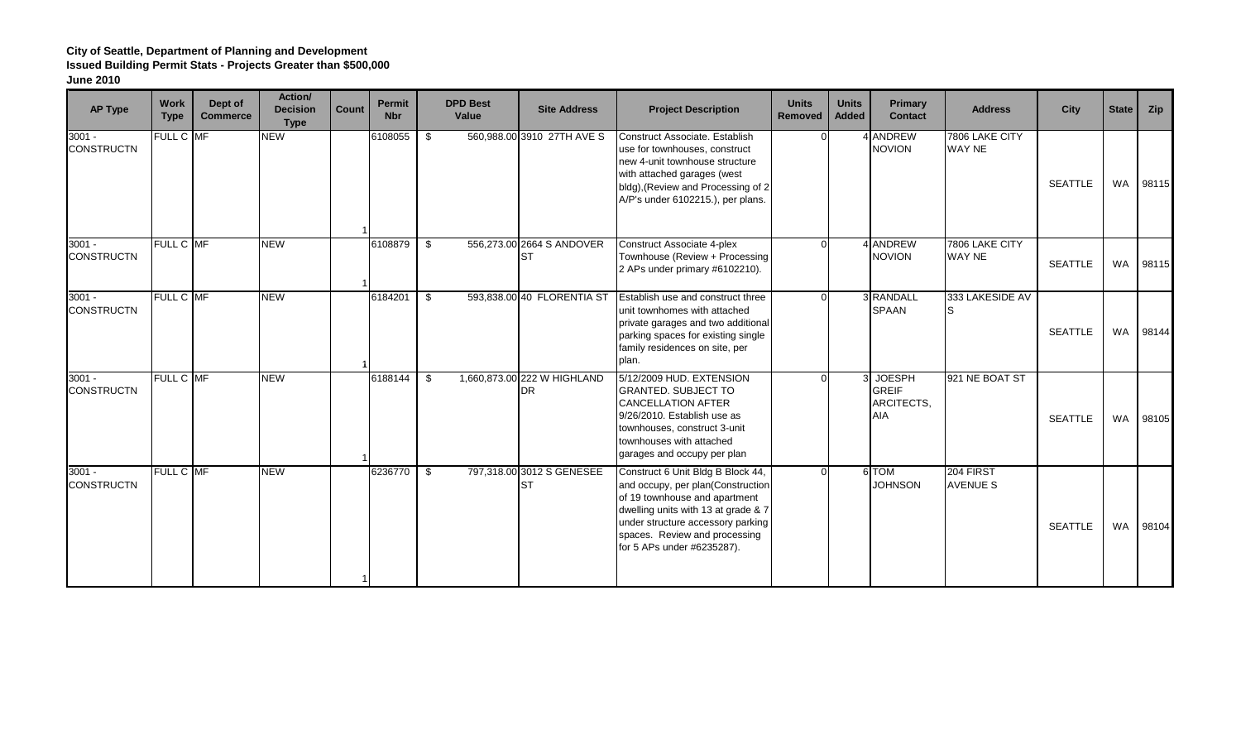#### **City of Seattle, Department of Planning and Development Issued Building Permit Stats - Projects Greater than \$500,000**

| <b>AP Type</b>                | <b>Work</b><br><b>Type</b> | Dept of<br><b>Commerce</b> | Action/<br><b>Decision</b><br><b>Type</b> | Count | <b>Permit</b><br><b>Nbr</b> | <b>DPD Best</b><br>Value | <b>Site Address</b>                      | <b>Project Description</b>                                                                                                                                                                                                                         | <b>Units</b><br><b>Removed</b> | <b>Units</b><br><b>Added</b> | Primary<br><b>Contact</b>                                 | <b>Address</b>                  | City           | <b>State</b> | Zip   |
|-------------------------------|----------------------------|----------------------------|-------------------------------------------|-------|-----------------------------|--------------------------|------------------------------------------|----------------------------------------------------------------------------------------------------------------------------------------------------------------------------------------------------------------------------------------------------|--------------------------------|------------------------------|-----------------------------------------------------------|---------------------------------|----------------|--------------|-------|
| $3001 -$<br><b>CONSTRUCTN</b> | FULL C MF                  |                            | <b>NEW</b>                                |       | 6108055                     | \$                       | 560,988.00 3910 27TH AVE S               | Construct Associate, Establish<br>use for townhouses, construct<br>new 4-unit townhouse structure<br>with attached garages (west<br>bldg), (Review and Processing of 2<br>A/P's under 6102215.), per plans.                                        |                                |                              | <b>ANDREW</b><br><b>NOVION</b>                            | 7806 LAKE CITY<br>WAY NE        | <b>SEATTLE</b> | WA           | 98115 |
| $3001 -$<br><b>CONSTRUCTN</b> | FULL C MF                  |                            | <b>NEW</b>                                |       | 6108879                     | \$                       | 556,273.00 2664 S ANDOVER<br>ST          | <b>Construct Associate 4-plex</b><br>Townhouse (Review + Processing<br>2 APs under primary #6102210).                                                                                                                                              | $\Omega$                       |                              | <b>ANDREW</b><br><b>NOVION</b>                            | 7806 LAKE CITY<br><b>WAY NE</b> | <b>SEATTLE</b> | <b>WA</b>    | 98115 |
| $3001 -$<br><b>CONSTRUCTN</b> | FULL C MF                  |                            | <b>NEW</b>                                |       | 6184201                     | s,                       | 593,838.00 40 FLORENTIA ST               | Establish use and construct three<br>unit townhomes with attached<br>private garages and two additional<br>parking spaces for existing single<br>family residences on site, per<br>plan.                                                           | $\Omega$                       |                              | 3 RANDALL<br><b>SPAAN</b>                                 | 333 LAKESIDE AV<br>IS           | <b>SEATTLE</b> | <b>WA</b>    | 98144 |
| $3001 -$<br><b>CONSTRUCTN</b> | FULL C MF                  |                            | <b>NEW</b>                                |       | 6188144                     | \$                       | 1,660,873.00 222 W HIGHLAND<br><b>DR</b> | 5/12/2009 HUD. EXTENSION<br><b>GRANTED. SUBJECT TO</b><br><b>CANCELLATION AFTER</b><br>9/26/2010. Establish use as<br>townhouses, construct 3-unit<br>townhouses with attached<br>garages and occupy per plan                                      | $\Omega$                       |                              | <b>JOESPH</b><br><b>GREIF</b><br>ARCITECTS,<br><b>AIA</b> | 921 NE BOAT ST                  | <b>SEATTLE</b> | WA           | 98105 |
| $3001 -$<br><b>CONSTRUCTN</b> | FULL C MF                  |                            | <b>NEW</b>                                |       | 6236770                     | \$                       | 797,318.00 3012 S GENESEE<br>ST          | Construct 6 Unit Bldg B Block 44,<br>and occupy, per plan(Construction<br>of 19 townhouse and apartment<br>dwelling units with 13 at grade & 7<br>under structure accessory parking<br>spaces. Review and processing<br>for 5 APs under #6235287). | $\Omega$                       |                              | 6 TOM<br><b>JOHNSON</b>                                   | 204 FIRST<br><b>AVENUE S</b>    | <b>SEATTLE</b> | WA           | 98104 |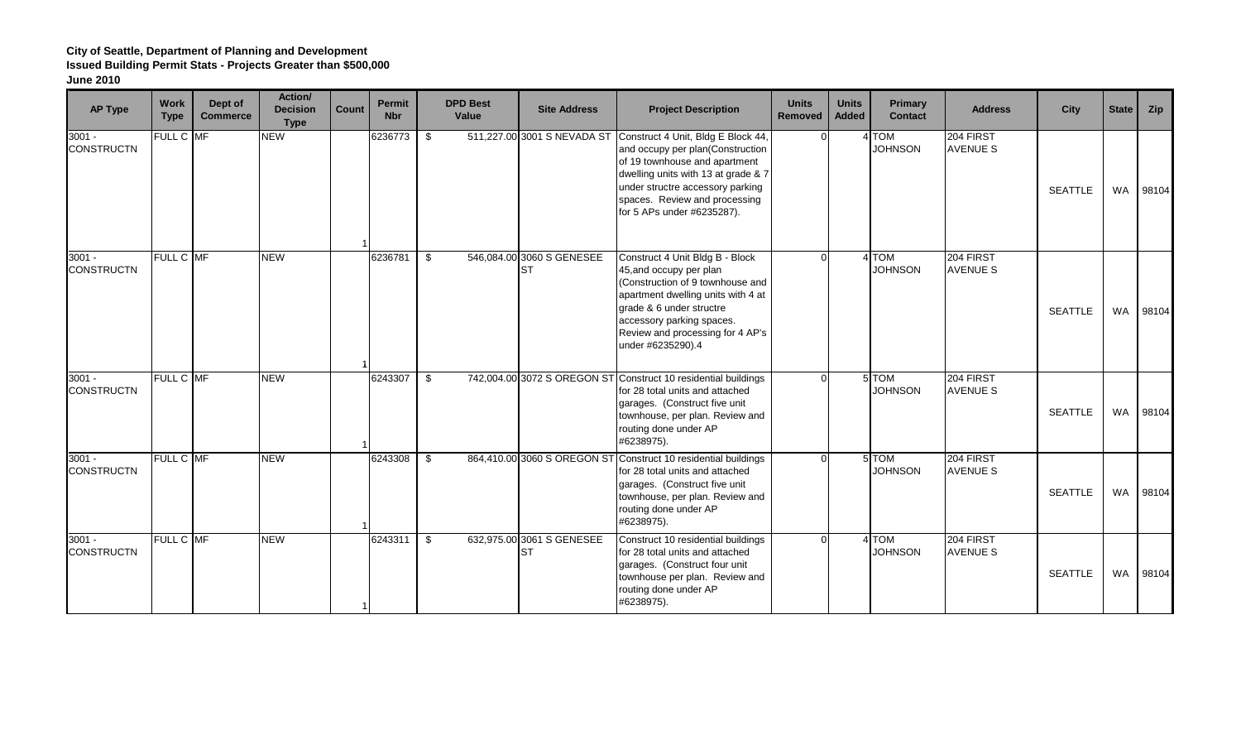## **City of Seattle, Department of Planning and Development Issued Building Permit Stats - Projects Greater than \$500,000 June 2010**

| <b>AP Type</b>                | <b>Work</b><br><b>Type</b> | Dept of<br><b>Commerce</b> | Action/<br><b>Decision</b><br><b>Type</b> | Count | <b>Permit</b><br><b>Nbr</b> | <b>DPD Best</b><br>Value | <b>Site Address</b>                    | <b>Project Description</b>                                                                                                                                                                                                                             | <b>Units</b><br>Removed | <b>Units</b><br><b>Added</b> | Primary<br><b>Contact</b> | <b>Address</b>               | <b>City</b>    | <b>State</b> | Zip   |
|-------------------------------|----------------------------|----------------------------|-------------------------------------------|-------|-----------------------------|--------------------------|----------------------------------------|--------------------------------------------------------------------------------------------------------------------------------------------------------------------------------------------------------------------------------------------------------|-------------------------|------------------------------|---------------------------|------------------------------|----------------|--------------|-------|
| $3001 -$<br><b>CONSTRUCTN</b> | FULL C MF                  |                            | <b>NEW</b>                                |       | 6236773                     | \$                       | 511,227.00 3001 S NEVADA ST            | Construct 4 Unit, Bldg E Block 44,<br>and occupy per plan(Construction<br>of 19 townhouse and apartment<br>dwelling units with 13 at grade & 7<br>under structre accessory parking<br>spaces. Review and processing<br>for 5 APs under #6235287).      |                         |                              | 4 TOM<br><b>JOHNSON</b>   | 204 FIRST<br><b>AVENUE S</b> | <b>SEATTLE</b> | <b>WA</b>    | 98104 |
| $3001 -$<br><b>CONSTRUCTN</b> | <b>FULL C MF</b>           |                            | NEW                                       |       | 6236781                     | \$                       | 546,084.00 3060 S GENESEE<br><b>ST</b> | Construct 4 Unit Bldg B - Block<br>45, and occupy per plan<br>(Construction of 9 townhouse and<br>apartment dwelling units with 4 at<br>grade & 6 under structre<br>accessory parking spaces.<br>Review and processing for 4 AP's<br>under #6235290).4 |                         |                              | 4 TOM<br><b>JOHNSON</b>   | 204 FIRST<br><b>AVENUE S</b> | <b>SEATTLE</b> | <b>WA</b>    | 98104 |
| $3001 -$<br><b>CONSTRUCTN</b> | FULL C MF                  |                            | <b>NEW</b>                                |       | 6243307                     | \$                       |                                        | 742,004.00 3072 S OREGON ST Construct 10 residential buildings<br>for 28 total units and attached<br>garages. (Construct five unit<br>townhouse, per plan. Review and<br>routing done under AP<br>#6238975).                                           |                         |                              | 5 TOM<br><b>JOHNSON</b>   | 204 FIRST<br><b>AVENUE S</b> | <b>SEATTLE</b> | <b>WA</b>    | 98104 |
| $3001 -$<br><b>CONSTRUCTN</b> | FULL C MF                  |                            | <b>NEW</b>                                |       | 6243308                     | \$                       | 864,410.00 3060 S OREGON ST            | Construct 10 residential buildings<br>for 28 total units and attached<br>garages. (Construct five unit<br>townhouse, per plan. Review and<br>routing done under AP<br>#6238975).                                                                       |                         |                              | 5 TOM<br><b>JOHNSON</b>   | 204 FIRST<br><b>AVENUE S</b> | <b>SEATTLE</b> | WA           | 98104 |
| $3001 -$<br><b>CONSTRUCTN</b> | FULL C MF                  |                            | <b>NEW</b>                                |       | 6243311                     | \$                       | 632,975.00 3061 S GENESEE<br>ST        | Construct 10 residential buildings<br>for 28 total units and attached<br>garages. (Construct four unit<br>townhouse per plan. Review and<br>routing done under AP<br>#6238975).                                                                        |                         |                              | 4 TOM<br><b>JOHNSON</b>   | 204 FIRST<br><b>AVENUE S</b> | <b>SEATTLE</b> | <b>WA</b>    | 98104 |